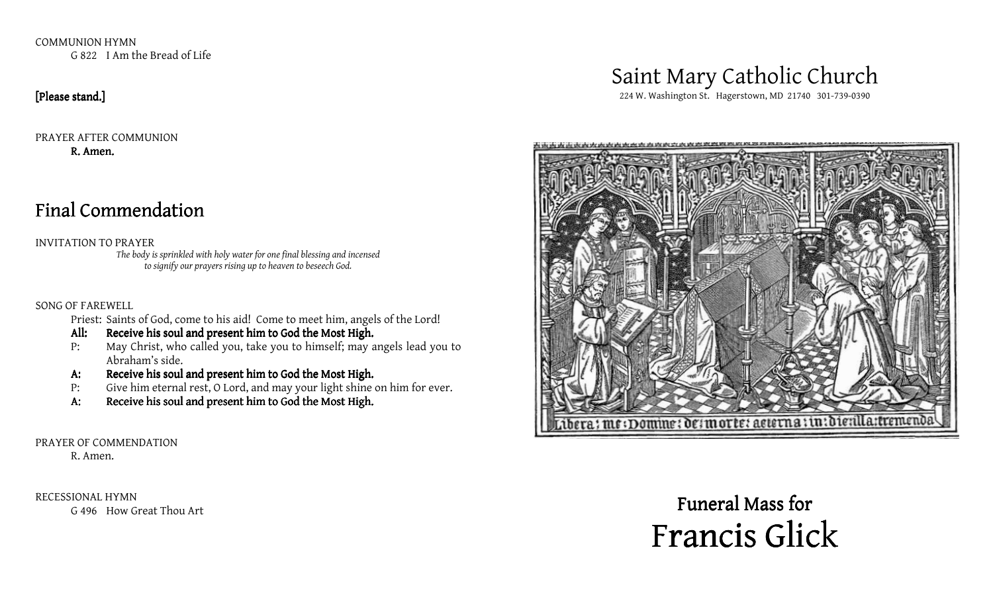COMMUNION HYMN G 822 I Am the Bread of Life

#### [Please stand.]

PRAYER AFTER COMMUNION R. Amen.

# Final Commendation

INVITATION TO PRAYER

The body is sprinkled with holy water for one final blessing and incensed to signify our prayers rising up to heaven to beseech God.

#### SONG OF FAREWELL

Priest: Saints of God, come to his aid! Come to meet him, angels of the Lord!

- All: Receive his soul and present him to God the Most High.
- P: May Christ, who called you, take you to himself; may angels lead you to Abraham's side.
- A: Receive his soul and present him to God the Most High.
- P: Give him eternal rest, O Lord, and may your light shine on him for ever.
- A: Receive his soul and present him to God the Most High.

#### PRAYER OF COMMENDATION

R. Amen.

RECESSIONAL HYMN G 496 How Great Thou Art

# Saint Mary Catholic Church

224 W. Washington St. Hagerstown, MD 21740 301-739-0390



# Funeral Mass for Francis Glick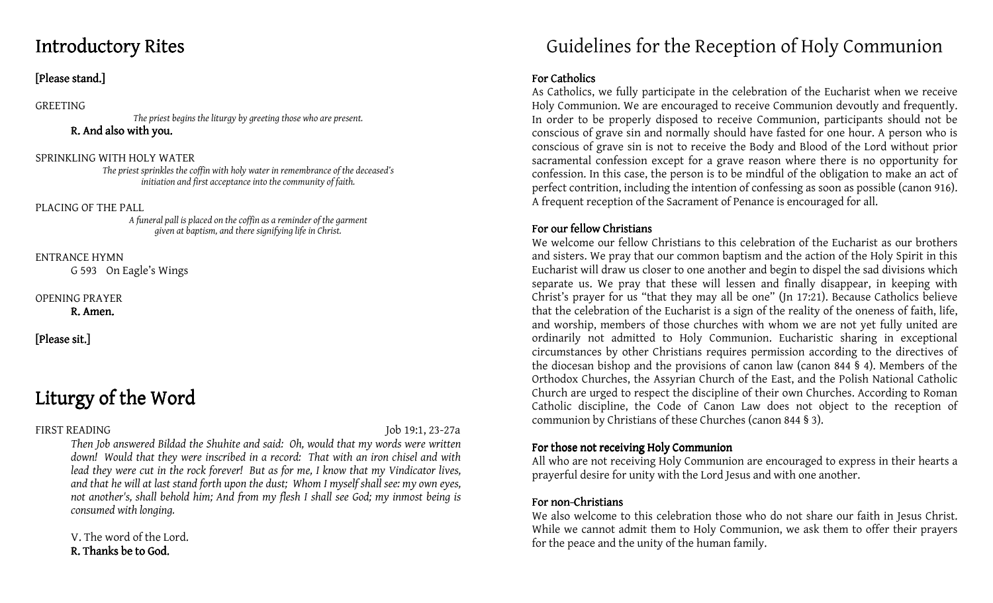# Introductory Rites

# [Please stand.]

#### GREETING

The priest begins the liturgy by greeting those who are present. R. And also with you.

#### SPRINKLING WITH HOLY WATER

 The priest sprinkles the coffin with holy water in remembrance of the deceased's initiation and first acceptance into the community of faith.

PLACING OF THE PALL

 A funeral pall is placed on the coffin as a reminder of the garment given at baptism, and there signifying life in Christ.

ENTRANCE HYMN

G 593 On Eagle's Wings

#### OPENING PRAYER

R. Amen.

[Please sit.]

# Liturgy of the Word

FIRST READING Job 19:1, 23-27a

 Then Job answered Bildad the Shuhite and said: Oh, would that my words were written down! Would that they were inscribed in a record: That with an iron chisel and with lead they were cut in the rock forever! But as for me, I know that my Vindicator lives, and that he will at last stand forth upon the dust; Whom I myself shall see: my own eyes, not another's, shall behold him; And from my flesh I shall see God; my inmost being is consumed with longing.

V. The word of the Lord.R. Thanks be to God.

# Guidelines for the Reception of Holy Communion

### For Catholics

 As Catholics, we fully participate in the celebration of the Eucharist when we receive Holy Communion. We are encouraged to receive Communion devoutly and frequently. In order to be properly disposed to receive Communion, participants should not be conscious of grave sin and normally should have fasted for one hour. A person who is conscious of grave sin is not to receive the Body and Blood of the Lord without prior sacramental confession except for a grave reason where there is no opportunity for confession. In this case, the person is to be mindful of the obligation to make an act of perfect contrition, including the intention of confessing as soon as possible (canon 916). A frequent reception of the Sacrament of Penance is encouraged for all.

# For our fellow Christians

We welcome our fellow Christians to this celebration of the Eucharist as our brothers and sisters. We pray that our common baptism and the action of the Holy Spirit in this Eucharist will draw us closer to one another and begin to dispel the sad divisions which separate us. We pray that these will lessen and finally disappear, in keeping with Christ's prayer for us "that they may all be one" (Jn 17:21). Because Catholics believe that the celebration of the Eucharist is a sign of the reality of the oneness of faith, life, and worship, members of those churches with whom we are not yet fully united are ordinarily not admitted to Holy Communion. Eucharistic sharing in exceptional circumstances by other Christians requires permission according to the directives of the diocesan bishop and the provisions of canon law (canon 844 § 4). Members of the Orthodox Churches, the Assyrian Church of the East, and the Polish National Catholic Church are urged to respect the discipline of their own Churches. According to Roman Catholic discipline, the Code of Canon Law does not object to the reception of communion by Christians of these Churches (canon 844 § 3).

### For those not receiving Holy Communion

 All who are not receiving Holy Communion are encouraged to express in their hearts a prayerful desire for unity with the Lord Jesus and with one another.

## For non-Christians

We also welcome to this celebration those who do not share our faith in Jesus Christ. While we cannot admit them to Holy Communion, we ask them to offer their prayers for the peace and the unity of the human family.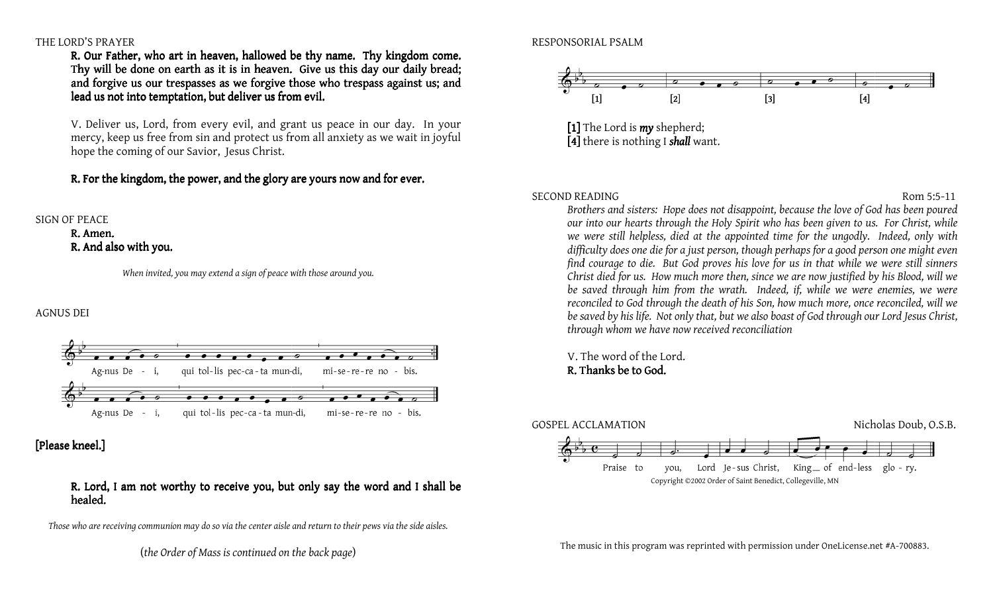#### THE LORD'S PRAYER

R. Our Father, who art in heaven, hallowed be thy name. Thy kingdom come. Thy will be done on earth as it is in heaven. Give us this day our daily bread; and forgive us our trespasses as we forgive those who trespass against us; and lead us not into temptation, but deliver us from evil.

V. Deliver us, Lord, from every evil, and grant us peace in our day. In your and forgive us our trespasses as we forgive those who trespass against us; and<br>lead us not into temptation, but deliver us from evil.<br>V. Deliver us, Lord, from every evil, and grant us peace in our day. In your<br>mercy, keep hope the coming of our Savior, Jesus Christ.

R. For the kingdom, the power, and the glory are yours now and for ever.

#### SIGN OF PEACE

R. Amen. R. And also with you.

When invited, you may extend a sign of peace with those around you.

#### AGNUS DEI



[Please kneel.]

#### R. Lord, I am not worthy to receive you, but only say the word and I shall be healed. healed.

Those who are receiving communion may do so via the center aisle and return to their pews via the side aisles.

(the Order of Mass is continued on the back page)

#### RESPONSORIAL PSALM



[1] The Lord is  $my$  shepherd; [4] there is nothing I shall want.

#### SECOND READING

 Brothers and sisters: Hope does not disappoint, because the love of God has been poured Brothers and sisters: Hope does not disappoint, because the love of God has been poured<br>our into our hearts through the Holy Spirit who has been given to us. For Christ, while we were still helpless, died at the appointed time for the ungodly. Indeed, only with difficulty does one die for a just person, though perhaps for a good person one might even find courage to die. But God proves his love for us in that while we were still sinners Christ died for us. How much more then, since we are now justified by his Blood, will we be saved through him from the wrath. Indeed, if, while we were enemies, we were reconciled to God through the death of his Son, how much more, once reconciled, will we be saved by his life. Not only that, but we also boast of God through our Lord Jesus Christ, through whom we have now received reconciliation in this program was reprinted with permission under one License.<br>
In this program reprints through the Holy Spirit who has been given to us. For Christ, while<br>
still helpless, died at the appointed time for the ungodly. In

V. The word of the Lord.R. Thanks be to God.



The music in this program was reprinted with permission under OneLicense.net #A-700883.